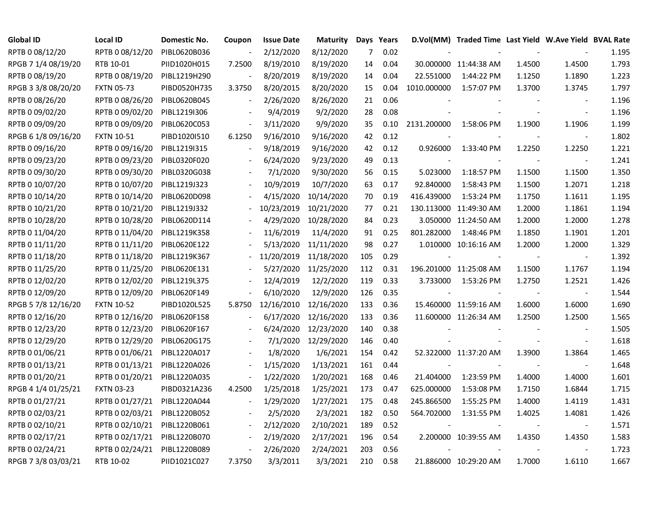| Global ID           | <b>Local ID</b>   | Domestic No. | Coupon         | <b>Issue Date</b> | <b>Maturity</b> | Days Years |      |             | D.Vol(MM) Traded Time Last Yield W.Ave Yield BVAL Rate |        |                          |       |
|---------------------|-------------------|--------------|----------------|-------------------|-----------------|------------|------|-------------|--------------------------------------------------------|--------|--------------------------|-------|
| RPTB 0 08/12/20     | RPTB 0 08/12/20   | PIBL0620B036 |                | 2/12/2020         | 8/12/2020       | 7          | 0.02 |             |                                                        |        |                          | 1.195 |
| RPGB 7 1/4 08/19/20 | RTB 10-01         | PIID1020H015 | 7.2500         | 8/19/2010         | 8/19/2020       | 14         | 0.04 |             | 30.000000 11:44:38 AM                                  | 1.4500 | 1.4500                   | 1.793 |
| RPTB 0 08/19/20     | RPTB 0 08/19/20   | PIBL1219H290 |                | 8/20/2019         | 8/19/2020       | 14         | 0.04 | 22.551000   | 1:44:22 PM                                             | 1.1250 | 1.1890                   | 1.223 |
| RPGB 3 3/8 08/20/20 | <b>FXTN 05-73</b> | PIBD0520H735 | 3.3750         | 8/20/2015         | 8/20/2020       | 15         | 0.04 | 1010.000000 | 1:57:07 PM                                             | 1.3700 | 1.3745                   | 1.797 |
| RPTB 0 08/26/20     | RPTB 0 08/26/20   | PIBL0620B045 | $\blacksquare$ | 2/26/2020         | 8/26/2020       | 21         | 0.06 |             |                                                        |        | $\blacksquare$           | 1.196 |
| RPTB 0 09/02/20     | RPTB 0 09/02/20   | PIBL1219I306 |                | 9/4/2019          | 9/2/2020        | 28         | 0.08 |             |                                                        |        | $\blacksquare$           | 1.196 |
| RPTB 0 09/09/20     | RPTB 0 09/09/20   | PIBL0620C053 |                | 3/11/2020         | 9/9/2020        | 35         | 0.10 | 2131.200000 | 1:58:06 PM                                             | 1.1900 | 1.1906                   | 1.199 |
| RPGB 6 1/8 09/16/20 | <b>FXTN 10-51</b> | PIBD1020I510 | 6.1250         | 9/16/2010         | 9/16/2020       | 42         | 0.12 |             |                                                        |        | $\overline{\phantom{a}}$ | 1.802 |
| RPTB 0 09/16/20     | RPTB 0 09/16/20   | PIBL1219I315 |                | 9/18/2019         | 9/16/2020       | 42         | 0.12 | 0.926000    | 1:33:40 PM                                             | 1.2250 | 1.2250                   | 1.221 |
| RPTB 0 09/23/20     | RPTB 0 09/23/20   | PIBL0320F020 |                | 6/24/2020         | 9/23/2020       | 49         | 0.13 |             |                                                        |        | $\overline{\phantom{a}}$ | 1.241 |
| RPTB 0 09/30/20     | RPTB 0 09/30/20   | PIBL0320G038 |                | 7/1/2020          | 9/30/2020       | 56         | 0.15 | 5.023000    | 1:18:57 PM                                             | 1.1500 | 1.1500                   | 1.350 |
| RPTB 0 10/07/20     | RPTB 0 10/07/20   | PIBL1219J323 |                | 10/9/2019         | 10/7/2020       | 63         | 0.17 | 92.840000   | 1:58:43 PM                                             | 1.1500 | 1.2071                   | 1.218 |
| RPTB 0 10/14/20     | RPTB 0 10/14/20   | PIBL0620D098 |                | 4/15/2020         | 10/14/2020      | 70         | 0.19 | 416.439000  | 1:53:24 PM                                             | 1.1750 | 1.1611                   | 1.195 |
| RPTB 0 10/21/20     | RPTB 0 10/21/20   | PIBL1219J332 |                | 10/23/2019        | 10/21/2020      | 77         | 0.21 |             | 130.113000 11:49:30 AM                                 | 1.2000 | 1.1861                   | 1.194 |
| RPTB 0 10/28/20     | RPTB 0 10/28/20   | PIBL0620D114 |                | 4/29/2020         | 10/28/2020      | 84         | 0.23 |             | 3.050000 11:24:50 AM                                   | 1.2000 | 1.2000                   | 1.278 |
| RPTB 0 11/04/20     | RPTB 0 11/04/20   | PIBL1219K358 |                | 11/6/2019         | 11/4/2020       | 91         | 0.25 | 801.282000  | 1:48:46 PM                                             | 1.1850 | 1.1901                   | 1.201 |
| RPTB 0 11/11/20     | RPTB 0 11/11/20   | PIBL0620E122 |                | 5/13/2020         | 11/11/2020      | 98         | 0.27 |             | 1.010000 10:16:16 AM                                   | 1.2000 | 1.2000                   | 1.329 |
| RPTB 0 11/18/20     | RPTB 0 11/18/20   | PIBL1219K367 |                | 11/20/2019        | 11/18/2020      | 105        | 0.29 |             |                                                        |        | $\overline{\phantom{a}}$ | 1.392 |
| RPTB 0 11/25/20     | RPTB 0 11/25/20   | PIBL0620E131 |                | 5/27/2020         | 11/25/2020      | 112        | 0.31 |             | 196.201000 11:25:08 AM                                 | 1.1500 | 1.1767                   | 1.194 |
| RPTB 0 12/02/20     | RPTB 0 12/02/20   | PIBL1219L375 |                | 12/4/2019         | 12/2/2020       | 119        | 0.33 | 3.733000    | 1:53:26 PM                                             | 1.2750 | 1.2521                   | 1.426 |
| RPTB 0 12/09/20     | RPTB 0 12/09/20   | PIBL0620F149 |                | 6/10/2020         | 12/9/2020       | 126        | 0.35 |             |                                                        |        | $\overline{\phantom{a}}$ | 1.544 |
| RPGB 5 7/8 12/16/20 | <b>FXTN 10-52</b> | PIBD1020L525 | 5.8750         | 12/16/2010        | 12/16/2020      | 133        | 0.36 |             | 15.460000 11:59:16 AM                                  | 1.6000 | 1.6000                   | 1.690 |
| RPTB 0 12/16/20     | RPTB 0 12/16/20   | PIBL0620F158 |                | 6/17/2020         | 12/16/2020      | 133        | 0.36 |             | 11.600000 11:26:34 AM                                  | 1.2500 | 1.2500                   | 1.565 |
| RPTB 0 12/23/20     | RPTB 0 12/23/20   | PIBL0620F167 |                | 6/24/2020         | 12/23/2020      | 140        | 0.38 |             |                                                        |        | $\blacksquare$           | 1.505 |
| RPTB 0 12/29/20     | RPTB 0 12/29/20   | PIBL0620G175 |                | 7/1/2020          | 12/29/2020      | 146        | 0.40 |             |                                                        |        | $\blacksquare$           | 1.618 |
| RPTB 0 01/06/21     | RPTB 0 01/06/21   | PIBL1220A017 |                | 1/8/2020          | 1/6/2021        | 154        | 0.42 |             | 52.322000 11:37:20 AM                                  | 1.3900 | 1.3864                   | 1.465 |
| RPTB 0 01/13/21     | RPTB 0 01/13/21   | PIBL1220A026 |                | 1/15/2020         | 1/13/2021       | 161        | 0.44 |             |                                                        |        | $\overline{\phantom{a}}$ | 1.648 |
| RPTB 0 01/20/21     | RPTB 0 01/20/21   | PIBL1220A035 |                | 1/22/2020         | 1/20/2021       | 168        | 0.46 | 21.404000   | 1:23:59 PM                                             | 1.4000 | 1.4000                   | 1.601 |
| RPGB 4 1/4 01/25/21 | <b>FXTN 03-23</b> | PIBD0321A236 | 4.2500         | 1/25/2018         | 1/25/2021       | 173        | 0.47 | 625.000000  | 1:53:08 PM                                             | 1.7150 | 1.6844                   | 1.715 |
| RPTB 0 01/27/21     | RPTB 0 01/27/21   | PIBL1220A044 |                | 1/29/2020         | 1/27/2021       | 175        | 0.48 | 245.866500  | 1:55:25 PM                                             | 1.4000 | 1.4119                   | 1.431 |
| RPTB 0 02/03/21     | RPTB 0 02/03/21   | PIBL1220B052 |                | 2/5/2020          | 2/3/2021        | 182        | 0.50 | 564.702000  | 1:31:55 PM                                             | 1.4025 | 1.4081                   | 1.426 |
| RPTB 0 02/10/21     | RPTB 0 02/10/21   | PIBL1220B061 | $\blacksquare$ | 2/12/2020         | 2/10/2021       | 189        | 0.52 |             |                                                        |        | $\overline{\phantom{a}}$ | 1.571 |
| RPTB 0 02/17/21     | RPTB 0 02/17/21   | PIBL1220B070 |                | 2/19/2020         | 2/17/2021       | 196        | 0.54 |             | 2.200000 10:39:55 AM                                   | 1.4350 | 1.4350                   | 1.583 |
| RPTB 0 02/24/21     | RPTB 0 02/24/21   | PIBL1220B089 | $\blacksquare$ | 2/26/2020         | 2/24/2021       | 203        | 0.56 |             |                                                        |        | $\blacksquare$           | 1.723 |
| RPGB 7 3/8 03/03/21 | RTB 10-02         | PIID1021C027 | 7.3750         | 3/3/2011          | 3/3/2021        | 210        | 0.58 |             | 21.886000 10:29:20 AM                                  | 1.7000 | 1.6110                   | 1.667 |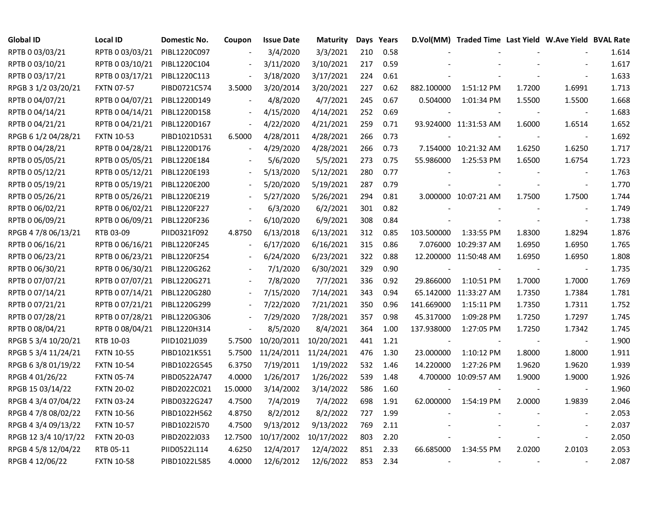| <b>Global ID</b>     | <b>Local ID</b>   | Domestic No. | Coupon                   | <b>Issue Date</b>     | <b>Maturity</b> |     | Days Years |            | D.Vol(MM) Traded Time Last Yield W.Ave Yield BVAL Rate |        |                          |       |
|----------------------|-------------------|--------------|--------------------------|-----------------------|-----------------|-----|------------|------------|--------------------------------------------------------|--------|--------------------------|-------|
| RPTB 0 03/03/21      | RPTB 0 03/03/21   | PIBL1220C097 |                          | 3/4/2020              | 3/3/2021        | 210 | 0.58       |            |                                                        |        |                          | 1.614 |
| RPTB 0 03/10/21      | RPTB 0 03/10/21   | PIBL1220C104 |                          | 3/11/2020             | 3/10/2021       | 217 | 0.59       |            |                                                        |        |                          | 1.617 |
| RPTB 0 03/17/21      | RPTB 0 03/17/21   | PIBL1220C113 |                          | 3/18/2020             | 3/17/2021       | 224 | 0.61       |            |                                                        |        |                          | 1.633 |
| RPGB 3 1/2 03/20/21  | <b>FXTN 07-57</b> | PIBD0721C574 | 3.5000                   | 3/20/2014             | 3/20/2021       | 227 | 0.62       | 882.100000 | 1:51:12 PM                                             | 1.7200 | 1.6991                   | 1.713 |
| RPTB 0 04/07/21      | RPTB 0 04/07/21   | PIBL1220D149 |                          | 4/8/2020              | 4/7/2021        | 245 | 0.67       | 0.504000   | 1:01:34 PM                                             | 1.5500 | 1.5500                   | 1.668 |
| RPTB 0 04/14/21      | RPTB 0 04/14/21   | PIBL1220D158 | $\blacksquare$           | 4/15/2020             | 4/14/2021       | 252 | 0.69       |            |                                                        |        | $\sim$                   | 1.683 |
| RPTB 0 04/21/21      | RPTB 0 04/21/21   | PIBL1220D167 | $\Box$                   | 4/22/2020             | 4/21/2021       | 259 | 0.71       |            | 93.924000 11:31:53 AM                                  | 1.6000 | 1.6514                   | 1.652 |
| RPGB 6 1/2 04/28/21  | <b>FXTN 10-53</b> | PIBD1021D531 | 6.5000                   | 4/28/2011             | 4/28/2021       | 266 | 0.73       |            |                                                        |        |                          | 1.692 |
| RPTB 0 04/28/21      | RPTB 0 04/28/21   | PIBL1220D176 |                          | 4/29/2020             | 4/28/2021       | 266 | 0.73       |            | 7.154000 10:21:32 AM                                   | 1.6250 | 1.6250                   | 1.717 |
| RPTB 0 05/05/21      | RPTB 0 05/05/21   | PIBL1220E184 |                          | 5/6/2020              | 5/5/2021        | 273 | 0.75       | 55.986000  | 1:25:53 PM                                             | 1.6500 | 1.6754                   | 1.723 |
| RPTB 0 05/12/21      | RPTB 0 05/12/21   | PIBL1220E193 |                          | 5/13/2020             | 5/12/2021       | 280 | 0.77       |            |                                                        |        |                          | 1.763 |
| RPTB 0 05/19/21      | RPTB 0 05/19/21   | PIBL1220E200 |                          | 5/20/2020             | 5/19/2021       | 287 | 0.79       |            |                                                        |        | $\blacksquare$           | 1.770 |
| RPTB 0 05/26/21      | RPTB 0 05/26/21   | PIBL1220E219 |                          | 5/27/2020             | 5/26/2021       | 294 | 0.81       |            | 3.000000 10:07:21 AM                                   | 1.7500 | 1.7500                   | 1.744 |
| RPTB 0 06/02/21      | RPTB 0 06/02/21   | PIBL1220F227 |                          | 6/3/2020              | 6/2/2021        | 301 | 0.82       |            |                                                        |        | $\overline{\phantom{a}}$ | 1.749 |
| RPTB 0 06/09/21      | RPTB 0 06/09/21   | PIBL1220F236 |                          | 6/10/2020             | 6/9/2021        | 308 | 0.84       |            |                                                        |        | $\sim$                   | 1.738 |
| RPGB 4 7/8 06/13/21  | RTB 03-09         | PIID0321F092 | 4.8750                   | 6/13/2018             | 6/13/2021       | 312 | 0.85       | 103.500000 | 1:33:55 PM                                             | 1.8300 | 1.8294                   | 1.876 |
| RPTB 0 06/16/21      | RPTB 0 06/16/21   | PIBL1220F245 |                          | 6/17/2020             | 6/16/2021       | 315 | 0.86       |            | 7.076000 10:29:37 AM                                   | 1.6950 | 1.6950                   | 1.765 |
| RPTB 0 06/23/21      | RPTB 0 06/23/21   | PIBL1220F254 | $\blacksquare$           | 6/24/2020             | 6/23/2021       | 322 | 0.88       |            | 12.200000 11:50:48 AM                                  | 1.6950 | 1.6950                   | 1.808 |
| RPTB 0 06/30/21      | RPTB 0 06/30/21   | PIBL1220G262 | $\blacksquare$           | 7/1/2020              | 6/30/2021       | 329 | 0.90       |            |                                                        |        | $\sim$                   | 1.735 |
| RPTB 0 07/07/21      | RPTB 0 07/07/21   | PIBL1220G271 | $\blacksquare$           | 7/8/2020              | 7/7/2021        | 336 | 0.92       | 29.866000  | 1:10:51 PM                                             | 1.7000 | 1.7000                   | 1.769 |
| RPTB 0 07/14/21      | RPTB 0 07/14/21   | PIBL1220G280 | $\blacksquare$           | 7/15/2020             | 7/14/2021       | 343 | 0.94       |            | 65.142000 11:33:27 AM                                  | 1.7350 | 1.7384                   | 1.781 |
| RPTB 0 07/21/21      | RPTB 0 07/21/21   | PIBL1220G299 |                          | 7/22/2020             | 7/21/2021       | 350 | 0.96       | 141.669000 | 1:15:11 PM                                             | 1.7350 | 1.7311                   | 1.752 |
| RPTB 0 07/28/21      | RPTB 0 07/28/21   | PIBL1220G306 |                          | 7/29/2020             | 7/28/2021       | 357 | 0.98       | 45.317000  | 1:09:28 PM                                             | 1.7250 | 1.7297                   | 1.745 |
| RPTB 0 08/04/21      | RPTB 0 08/04/21   | PIBL1220H314 | $\overline{\phantom{a}}$ | 8/5/2020              | 8/4/2021        | 364 | 1.00       | 137.938000 | 1:27:05 PM                                             | 1.7250 | 1.7342                   | 1.745 |
| RPGB 5 3/4 10/20/21  | RTB 10-03         | PIID1021J039 | 5.7500                   | 10/20/2011            | 10/20/2021      | 441 | 1.21       |            |                                                        |        | $\sim$                   | 1.900 |
| RPGB 5 3/4 11/24/21  | <b>FXTN 10-55</b> | PIBD1021K551 | 5.7500                   | 11/24/2011 11/24/2021 |                 | 476 | 1.30       | 23.000000  | 1:10:12 PM                                             | 1.8000 | 1.8000                   | 1.911 |
| RPGB 63/8 01/19/22   | <b>FXTN 10-54</b> | PIBD1022G545 | 6.3750                   | 7/19/2011             | 1/19/2022       | 532 | 1.46       | 14.220000  | 1:27:26 PM                                             | 1.9620 | 1.9620                   | 1.939 |
| RPGB 4 01/26/22      | <b>FXTN 05-74</b> | PIBD0522A747 | 4.0000                   | 1/26/2017             | 1/26/2022       | 539 | 1.48       |            | 4.700000 10:09:57 AM                                   | 1.9000 | 1.9000                   | 1.926 |
| RPGB 15 03/14/22     | <b>FXTN 20-02</b> | PIBD2022C021 | 15.0000                  | 3/14/2002             | 3/14/2022       | 586 | 1.60       |            |                                                        |        |                          | 1.960 |
| RPGB 4 3/4 07/04/22  | <b>FXTN 03-24</b> | PIBD0322G247 | 4.7500                   | 7/4/2019              | 7/4/2022        | 698 | 1.91       | 62.000000  | 1:54:19 PM                                             | 2.0000 | 1.9839                   | 2.046 |
| RPGB 4 7/8 08/02/22  | <b>FXTN 10-56</b> | PIBD1022H562 | 4.8750                   | 8/2/2012              | 8/2/2022        | 727 | 1.99       |            |                                                        |        |                          | 2.053 |
| RPGB 4 3/4 09/13/22  | <b>FXTN 10-57</b> | PIBD1022I570 | 4.7500                   | 9/13/2012             | 9/13/2022       | 769 | 2.11       |            |                                                        |        |                          | 2.037 |
| RPGB 12 3/4 10/17/22 | <b>FXTN 20-03</b> | PIBD2022J033 | 12.7500                  | 10/17/2002            | 10/17/2022      | 803 | 2.20       |            |                                                        |        | $\overline{\phantom{a}}$ | 2.050 |
| RPGB 4 5/8 12/04/22  | RTB 05-11         | PIID0522L114 | 4.6250                   | 12/4/2017             | 12/4/2022       | 851 | 2.33       | 66.685000  | 1:34:55 PM                                             | 2.0200 | 2.0103                   | 2.053 |
| RPGB 4 12/06/22      | <b>FXTN 10-58</b> | PIBD1022L585 | 4.0000                   | 12/6/2012             | 12/6/2022       | 853 | 2.34       |            |                                                        |        |                          | 2.087 |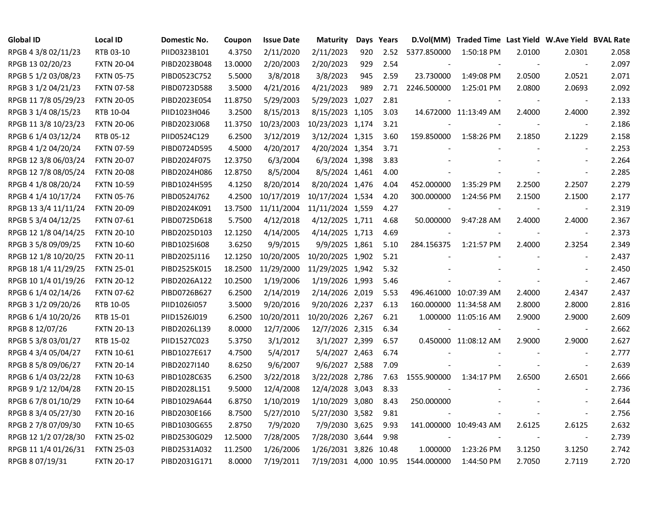| <b>Global ID</b>     | <b>Local ID</b>   | Domestic No. | Coupon  | <b>Issue Date</b> | <b>Maturity</b>       |     | Days Years |             | D.Vol(MM) Traded Time Last Yield W.Ave Yield BVAL Rate |        |                          |       |
|----------------------|-------------------|--------------|---------|-------------------|-----------------------|-----|------------|-------------|--------------------------------------------------------|--------|--------------------------|-------|
| RPGB 4 3/8 02/11/23  | RTB 03-10         | PIID0323B101 | 4.3750  | 2/11/2020         | 2/11/2023             | 920 | 2.52       | 5377.850000 | 1:50:18 PM                                             | 2.0100 | 2.0301                   | 2.058 |
| RPGB 13 02/20/23     | <b>FXTN 20-04</b> | PIBD2023B048 | 13.0000 | 2/20/2003         | 2/20/2023             | 929 | 2.54       |             |                                                        |        | $\blacksquare$           | 2.097 |
| RPGB 5 1/2 03/08/23  | <b>FXTN 05-75</b> | PIBD0523C752 | 5.5000  | 3/8/2018          | 3/8/2023              | 945 | 2.59       | 23.730000   | 1:49:08 PM                                             | 2.0500 | 2.0521                   | 2.071 |
| RPGB 3 1/2 04/21/23  | <b>FXTN 07-58</b> | PIBD0723D588 | 3.5000  | 4/21/2016         | 4/21/2023             | 989 | 2.71       | 2246.500000 | 1:25:01 PM                                             | 2.0800 | 2.0693                   | 2.092 |
| RPGB 11 7/8 05/29/23 | <b>FXTN 20-05</b> | PIBD2023E054 | 11.8750 | 5/29/2003         | 5/29/2023 1,027       |     | 2.81       |             |                                                        |        | $\blacksquare$           | 2.133 |
| RPGB 3 1/4 08/15/23  | RTB 10-04         | PIID1023H046 | 3.2500  | 8/15/2013         | 8/15/2023 1,105       |     | 3.03       |             | 14.672000 11:13:49 AM                                  | 2.4000 | 2.4000                   | 2.392 |
| RPGB 11 3/8 10/23/23 | <b>FXTN 20-06</b> | PIBD2023J068 | 11.3750 | 10/23/2003        | 10/23/2023 1,174      |     | 3.21       |             |                                                        |        | $\overline{\phantom{a}}$ | 2.186 |
| RPGB 6 1/4 03/12/24  | RTB 05-12         | PIID0524C129 | 6.2500  | 3/12/2019         | 3/12/2024 1,315       |     | 3.60       | 159.850000  | 1:58:26 PM                                             | 2.1850 | 2.1229                   | 2.158 |
| RPGB 4 1/2 04/20/24  | <b>FXTN 07-59</b> | PIBD0724D595 | 4.5000  | 4/20/2017         | 4/20/2024 1,354       |     | 3.71       |             |                                                        |        |                          | 2.253 |
| RPGB 12 3/8 06/03/24 | <b>FXTN 20-07</b> | PIBD2024F075 | 12.3750 | 6/3/2004          | 6/3/2024 1,398        |     | 3.83       |             |                                                        |        | $\blacksquare$           | 2.264 |
| RPGB 12 7/8 08/05/24 | <b>FXTN 20-08</b> | PIBD2024H086 | 12.8750 | 8/5/2004          | 8/5/2024 1,461        |     | 4.00       |             |                                                        |        | $\overline{\phantom{a}}$ | 2.285 |
| RPGB 4 1/8 08/20/24  | <b>FXTN 10-59</b> | PIBD1024H595 | 4.1250  | 8/20/2014         | 8/20/2024 1,476       |     | 4.04       | 452.000000  | 1:35:29 PM                                             | 2.2500 | 2.2507                   | 2.279 |
| RPGB 4 1/4 10/17/24  | <b>FXTN 05-76</b> | PIBD0524J762 | 4.2500  | 10/17/2019        | 10/17/2024 1,534      |     | 4.20       | 300.000000  | 1:24:56 PM                                             | 2.1500 | 2.1500                   | 2.177 |
| RPGB 13 3/4 11/11/24 | <b>FXTN 20-09</b> | PIBD2024K091 | 13.7500 | 11/11/2004        | 11/11/2024 1,559      |     | 4.27       |             |                                                        |        | $\blacksquare$           | 2.319 |
| RPGB 5 3/4 04/12/25  | <b>FXTN 07-61</b> | PIBD0725D618 | 5.7500  | 4/12/2018         | 4/12/2025 1,711       |     | 4.68       | 50.000000   | 9:47:28 AM                                             | 2.4000 | 2.4000                   | 2.367 |
| RPGB 12 1/8 04/14/25 | <b>FXTN 20-10</b> | PIBD2025D103 | 12.1250 | 4/14/2005         | 4/14/2025 1,713       |     | 4.69       |             |                                                        |        |                          | 2.373 |
| RPGB 3 5/8 09/09/25  | <b>FXTN 10-60</b> | PIBD10251608 | 3.6250  | 9/9/2015          | 9/9/2025 1,861        |     | 5.10       | 284.156375  | 1:21:57 PM                                             | 2.4000 | 2.3254                   | 2.349 |
| RPGB 12 1/8 10/20/25 | <b>FXTN 20-11</b> | PIBD2025J116 | 12.1250 | 10/20/2005        | 10/20/2025 1,902      |     | 5.21       |             |                                                        |        |                          | 2.437 |
| RPGB 18 1/4 11/29/25 | <b>FXTN 25-01</b> | PIBD2525K015 | 18.2500 | 11/29/2000        | 11/29/2025 1,942      |     | 5.32       |             |                                                        |        | $\blacksquare$           | 2.450 |
| RPGB 10 1/4 01/19/26 | <b>FXTN 20-12</b> | PIBD2026A122 | 10.2500 | 1/19/2006         | 1/19/2026 1,993       |     | 5.46       |             |                                                        |        | $\overline{\phantom{a}}$ | 2.467 |
| RPGB 6 1/4 02/14/26  | <b>FXTN 07-62</b> | PIBD0726B627 | 6.2500  | 2/14/2019         | 2/14/2026 2,019       |     | 5.53       |             | 496.461000 10:07:39 AM                                 | 2.4000 | 2.4347                   | 2.437 |
| RPGB 3 1/2 09/20/26  | RTB 10-05         | PIID1026I057 | 3.5000  | 9/20/2016         | 9/20/2026 2,237       |     | 6.13       |             | 160.000000 11:34:58 AM                                 | 2.8000 | 2.8000                   | 2.816 |
| RPGB 6 1/4 10/20/26  | RTB 15-01         | PIID1526J019 | 6.2500  | 10/20/2011        | 10/20/2026 2,267      |     | 6.21       |             | 1.000000 11:05:16 AM                                   | 2.9000 | 2.9000                   | 2.609 |
| RPGB 8 12/07/26      | <b>FXTN 20-13</b> | PIBD2026L139 | 8.0000  | 12/7/2006         | 12/7/2026 2,315       |     | 6.34       |             |                                                        |        | $\sim$                   | 2.662 |
| RPGB 5 3/8 03/01/27  | RTB 15-02         | PIID1527C023 | 5.3750  | 3/1/2012          | 3/1/2027 2,399        |     | 6.57       |             | 0.450000 11:08:12 AM                                   | 2.9000 | 2.9000                   | 2.627 |
| RPGB 4 3/4 05/04/27  | <b>FXTN 10-61</b> | PIBD1027E617 | 4.7500  | 5/4/2017          | 5/4/2027 2,463        |     | 6.74       |             |                                                        |        | $\overline{\phantom{a}}$ | 2.777 |
| RPGB 8 5/8 09/06/27  | <b>FXTN 20-14</b> | PIBD2027I140 | 8.6250  | 9/6/2007          | 9/6/2027 2,588        |     | 7.09       |             |                                                        |        | $\blacksquare$           | 2.639 |
| RPGB 6 1/4 03/22/28  | <b>FXTN 10-63</b> | PIBD1028C635 | 6.2500  | 3/22/2018         | 3/22/2028 2,786       |     | 7.63       | 1555.900000 | 1:34:17 PM                                             | 2.6500 | 2.6501                   | 2.666 |
| RPGB 9 1/2 12/04/28  | <b>FXTN 20-15</b> | PIBD2028L151 | 9.5000  | 12/4/2008         | 12/4/2028 3,043       |     | 8.33       |             |                                                        |        |                          | 2.736 |
| RPGB 6 7/8 01/10/29  | <b>FXTN 10-64</b> | PIBD1029A644 | 6.8750  | 1/10/2019         | 1/10/2029 3,080       |     | 8.43       | 250.000000  |                                                        |        |                          | 2.644 |
| RPGB 8 3/4 05/27/30  | <b>FXTN 20-16</b> | PIBD2030E166 | 8.7500  | 5/27/2010         | 5/27/2030 3,582       |     | 9.81       |             |                                                        |        | $\overline{\phantom{a}}$ | 2.756 |
| RPGB 2 7/8 07/09/30  | <b>FXTN 10-65</b> | PIBD1030G655 | 2.8750  | 7/9/2020          | 7/9/2030 3,625        |     | 9.93       |             | 141.000000 10:49:43 AM                                 | 2.6125 | 2.6125                   | 2.632 |
| RPGB 12 1/2 07/28/30 | <b>FXTN 25-02</b> | PIBD2530G029 | 12.5000 | 7/28/2005         | 7/28/2030 3,644       |     | 9.98       |             |                                                        |        | $\sim$                   | 2.739 |
| RPGB 11 1/4 01/26/31 | <b>FXTN 25-03</b> | PIBD2531A032 | 11.2500 | 1/26/2006         | 1/26/2031 3,826 10.48 |     |            | 1.000000    | 1:23:26 PM                                             | 3.1250 | 3.1250                   | 2.742 |
| RPGB 8 07/19/31      | <b>FXTN 20-17</b> | PIBD2031G171 | 8.0000  | 7/19/2011         | 7/19/2031 4,000 10.95 |     |            | 1544.000000 | 1:44:50 PM                                             | 2.7050 | 2.7119                   | 2.720 |